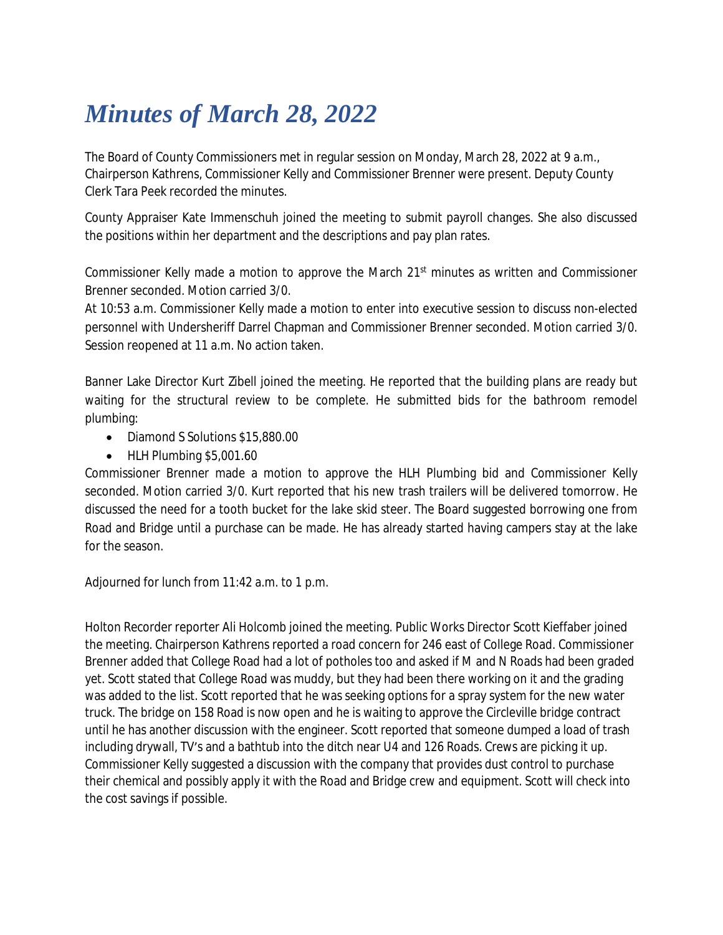## *Minutes of March 28, 2022*

The Board of County Commissioners met in regular session on Monday, March 28, 2022 at 9 a.m., Chairperson Kathrens, Commissioner Kelly and Commissioner Brenner were present. Deputy County Clerk Tara Peek recorded the minutes.

County Appraiser Kate Immenschuh joined the meeting to submit payroll changes. She also discussed the positions within her department and the descriptions and pay plan rates.

Commissioner Kelly made a motion to approve the March 21<sup>st</sup> minutes as written and Commissioner Brenner seconded. Motion carried 3/0.

At 10:53 a.m. Commissioner Kelly made a motion to enter into executive session to discuss non-elected personnel with Undersheriff Darrel Chapman and Commissioner Brenner seconded. Motion carried 3/0. Session reopened at 11 a.m. No action taken.

Banner Lake Director Kurt Zibell joined the meeting. He reported that the building plans are ready but waiting for the structural review to be complete. He submitted bids for the bathroom remodel plumbing:

- Diamond S Solutions \$15,880.00
- HLH Plumbing \$5,001.60

Commissioner Brenner made a motion to approve the HLH Plumbing bid and Commissioner Kelly seconded. Motion carried 3/0. Kurt reported that his new trash trailers will be delivered tomorrow. He discussed the need for a tooth bucket for the lake skid steer. The Board suggested borrowing one from Road and Bridge until a purchase can be made. He has already started having campers stay at the lake for the season.

Adjourned for lunch from 11:42 a.m. to 1 p.m.

Holton Recorder reporter Ali Holcomb joined the meeting. Public Works Director Scott Kieffaber joined the meeting. Chairperson Kathrens reported a road concern for 246 east of College Road. Commissioner Brenner added that College Road had a lot of potholes too and asked if M and N Roads had been graded yet. Scott stated that College Road was muddy, but they had been there working on it and the grading was added to the list. Scott reported that he was seeking options for a spray system for the new water truck. The bridge on 158 Road is now open and he is waiting to approve the Circleville bridge contract until he has another discussion with the engineer. Scott reported that someone dumped a load of trash including drywall, TV's and a bathtub into the ditch near U4 and 126 Roads. Crews are picking it up. Commissioner Kelly suggested a discussion with the company that provides dust control to purchase their chemical and possibly apply it with the Road and Bridge crew and equipment. Scott will check into the cost savings if possible.